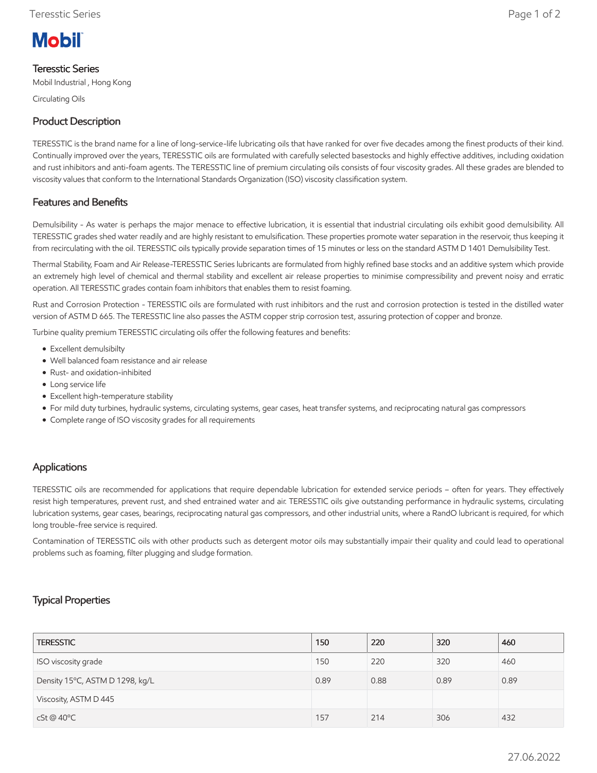# **Mobil**

### Teresstic Series

Mobil Industrial , Hong Kong

Circulating Oils

# Product Description

TERESSTIC is the brand name for a line of long-service-life lubricating oils that have ranked for over five decades among the finest products of their kind. Continually improved over the years, TERESSTIC oils are formulated with carefully selected basestocks and highly effective additives, including oxidation and rust inhibitors and anti-foam agents. The TERESSTIC line of premium circulating oils consists of four viscosity grades. All these grades are blended to viscosity values that conform to the International Standards Organization (ISO) viscosity classification system.

# Features and Benefits

Demulsibility - As water is perhaps the major menace to effective lubrication, it is essential that industrial circulating oils exhibit good demulsibility. All TERESSTIC grades shed water readily and are highly resistant to emulsification. These properties promote water separation in the reservoir, thus keeping it from recirculating with the oil. TERESSTIC oils typically provide separation times of 15 minutes or less on the standard ASTM D 1401 Demulsibility Test.

Thermal Stability, Foam and Air Release-TERESSTIC Series lubricants are formulated from highly refined base stocks and an additive system which provide an extremely high level of chemical and thermal stability and excellent air release properties to minimise compressibility and prevent noisy and erratic operation. All TERESSTIC grades contain foam inhibitors that enables them to resist foaming.

Rust and Corrosion Protection - TERESSTIC oils are formulated with rust inhibitors and the rust and corrosion protection is tested in the distilled water version of ASTM D 665. The TERESSTIC line also passes the ASTM copper strip corrosion test, assuring protection of copper and bronze.

Turbine quality premium TERESSTIC circulating oils offer the following features and benefits:

- Excellent demulsibilty
- Well balanced foam resistance and air release
- Rust- and oxidation-inhibited
- Long service life
- Excellent high-temperature stability
- For mild duty turbines, hydraulic systems, circulating systems, gear cases, heat transfer systems, and reciprocating natural gas compressors
- Complete range of ISO viscosity grades for all requirements

#### Applications

TERESSTIC oils are recommended for applications that require dependable lubrication for extended service periods – often for years. They effectively resist high temperatures, prevent rust, and shed entrained water and air. TERESSTIC oils give outstanding performance in hydraulic systems, circulating lubrication systems, gear cases, bearings, reciprocating natural gas compressors, and other industrial units, where a RandO lubricant is required, for which long trouble-free service is required.

Contamination of TERESSTIC oils with other products such as detergent motor oils may substantially impair their quality and could lead to operational problems such as foaming, filter plugging and sludge formation.

## Typical Properties

| <b>TERESSTIC</b>                | 150  | 220  | 320  | 460  |
|---------------------------------|------|------|------|------|
| ISO viscosity grade             | 150  | 220  | 320  | 460  |
| Density 15°C, ASTM D 1298, kg/L | 0.89 | 0.88 | 0.89 | 0.89 |
| Viscosity, ASTM D 445           |      |      |      |      |
| cSt@40°C                        | 157  | 214  | 306  | 432  |